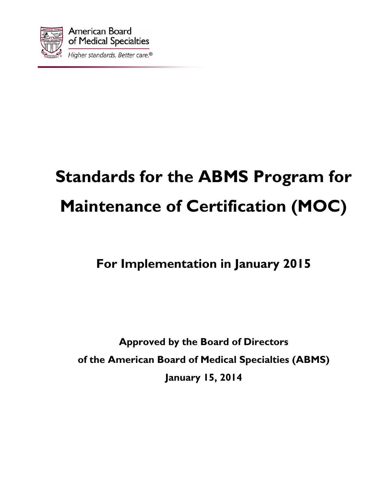

# **Standards for the ABMS Program for Maintenance of Certification (MOC)**

# **For Implementation in January 2015**

**Approved by the Board of Directors of the American Board of Medical Specialties (ABMS) January 15, 2014**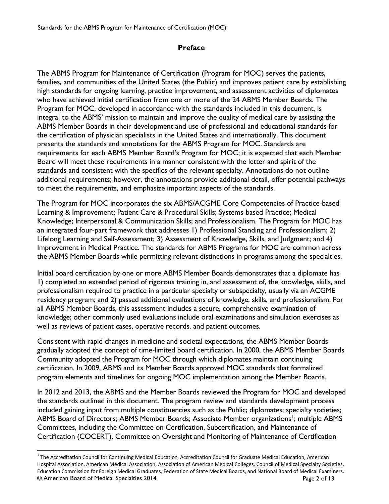# **Preface**

The ABMS Program for Maintenance of Certification (Program for MOC) serves the patients, families, and communities of the United States (the Public) and improves patient care by establishing high standards for ongoing learning, practice improvement, and assessment activities of diplomates who have achieved initial certification from one or more of the 24 ABMS Member Boards. The Program for MOC, developed in accordance with the standards included in this document, is integral to the ABMS' mission to maintain and improve the quality of medical care by assisting the ABMS Member Boards in their development and use of professional and educational standards for the certification of physician specialists in the United States and internationally. This document presents the standards and annotations for the ABMS Program for MOC. Standards are requirements for each ABMS Member Board's Program for MOC; it is expected that each Member Board will meet these requirements in a manner consistent with the letter and spirit of the standards and consistent with the specifics of the relevant specialty. Annotations do not outline additional requirements; however, the annotations provide additional detail, offer potential pathways to meet the requirements, and emphasize important aspects of the standards.

The Program for MOC incorporates the six ABMS/ACGME Core Competencies of Practice-based Learning & Improvement; Patient Care & Procedural Skills; Systems-based Practice; Medical Knowledge; Interpersonal & Communication Skills; and Professionalism. The Program for MOC has an integrated four-part framework that addresses 1) Professional Standing and Professionalism; 2) Lifelong Learning and Self-Assessment; 3) Assessment of Knowledge, Skills, and Judgment; and 4) Improvement in Medical Practice. The standards for ABMS Programs for MOC are common across the ABMS Member Boards while permitting relevant distinctions in programs among the specialties.

Initial board certification by one or more ABMS Member Boards demonstrates that a diplomate has 1) completed an extended period of rigorous training in, and assessment of, the knowledge, skills, and professionalism required to practice in a particular specialty or subspecialty, usually via an ACGME residency program; and 2) passed additional evaluations of knowledge, skills, and professionalism. For all ABMS Member Boards, this assessment includes a secure, comprehensive examination of knowledge; other commonly used evaluations include oral examinations and simulation exercises as well as reviews of patient cases, operative records, and patient outcomes.

Consistent with rapid changes in medicine and societal expectations, the ABMS Member Boards gradually adopted the concept of time-limited board certification. In 2000, the ABMS Member Boards Community adopted the Program for MOC through which diplomates maintain continuing certification. In 2009, ABMS and its Member Boards approved MOC standards that formalized program elements and timelines for ongoing MOC implementation among the Member Boards.

In 2012 and 2013, the ABMS and the Member Boards reviewed the Program for MOC and developed the standards outlined in this document. The program review and standards development process included gaining input from multiple constituencies such as the Public; diplomates; specialty societies; ABMS Board of Directors; ABMS Member Boards; Associate Member organizations<sup>[1](#page-1-0)</sup>; multiple ABMS Committees, including the Committee on Certification, Subcertification, and Maintenance of Certification (COCERT), Committee on Oversight and Monitoring of Maintenance of Certification

<span id="page-1-0"></span><sup>©</sup> American Board of Medical Specialties 2014 Page 2 of 13  $1$  The Accreditation Council for Continuing Medical Education, Accreditation Council for Graduate Medical Education, American Hospital Association, American Medical Association, Association of American Medical Colleges, Council of Medical Specialty Societies, Education Commission for Foreign Medical Graduates, Federation of State Medical Boards, and National Board of Medical Examiners.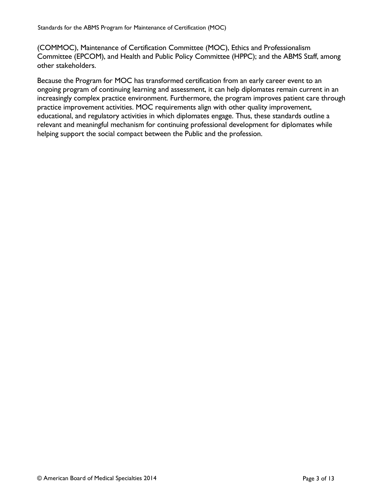(COMMOC), Maintenance of Certification Committee (MOC), Ethics and Professionalism Committee (EPCOM), and Health and Public Policy Committee (HPPC); and the ABMS Staff, among other stakeholders.

Because the Program for MOC has transformed certification from an early career event to an ongoing program of continuing learning and assessment, it can help diplomates remain current in an increasingly complex practice environment. Furthermore, the program improves patient care through practice improvement activities. MOC requirements align with other quality improvement, educational, and regulatory activities in which diplomates engage. Thus, these standards outline a relevant and meaningful mechanism for continuing professional development for diplomates while helping support the social compact between the Public and the profession.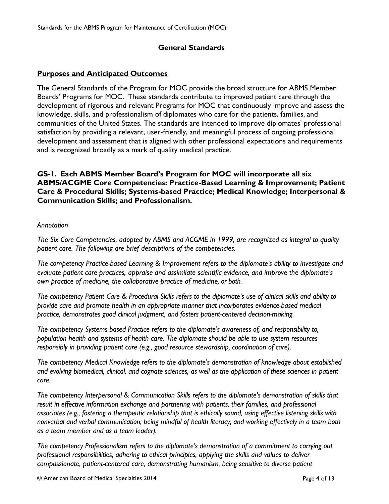### **General Standards**

#### **Purposes and Anticipated Outcomes**

The General Standards of the Program for MOC provide the broad structure for ABMS Member Boards' Programs for MOC. These standards contribute to improved patient care through the development of rigorous and relevant Programs for MOC that continuously improve and assess the knowledge, skills, and professionalism of diplomates who care for the patients, families, and communities of the United States. The standards are intended to improve diplomates' professional satisfaction by providing a relevant, user-friendly, and meaningful process of ongoing professional development and assessment that is aligned with other professional expectations and requirements and is recognized broadly as a mark of quality medical practice.

### **GS-1. Each ABMS Member Board's Program for MOC will incorporate all six ABMS/ACGME Core Competencies: Practice-Based Learning & Improvement; Patient Care & Procedural Skills; Systems-based Practice; Medical Knowledge; Interpersonal & Communication Skills; and Professionalism.**

#### *Annotation*

*The Six Core Competencies, adopted by ABMS and ACGME in 1999, are recognized as integral to quality patient care. The following are brief descriptions of the competencies.*

*The competency Practice-based Learning & Improvement refers to the diplomate's ability to investigate and evaluate patient care practices, appraise and assimilate scientific evidence, and improve the diplomate's own practice of medicine, the collaborative practice of medicine, or both.*

*The competency Patient Care & Procedural Skills refers to the diplomate's use of clinical skills and ability to provide care and promote health in an appropriate manner that incorporates evidence-based medical practice, demonstrates good clinical judgment, and fosters patient-centered decision-making.*

*The competency Systems-based Practice refers to the diplomate's awareness of, and responsibility to, population health and systems of health care. The diplomate should be able to use system resources responsibly in providing patient care (e.g., good resource stewardship, coordination of care).*

*The competency Medical Knowledge refers to the diplomate's demonstration of knowledge about established and evolving biomedical, clinical, and cognate sciences, as well as the application of these sciences in patient care.*

*The competency Interpersonal & Communication Skills refers to the diplomate's demonstration of skills that result in effective information exchange and partnering with patients, their families, and professional associates (e.g., fostering a therapeutic relationship that is ethically sound, using effective listening skills with nonverbal and verbal communication; being mindful of health literacy; and working effectively in a team both as a team member and as a team leader).*

*The competency Professionalism refers to the diplomate's demonstration of a commitment to carrying out professional responsibilities, adhering to ethical principles, applying the skills and values to deliver compassionate, patient-centered care, demonstrating humanism, being sensitive to diverse patient*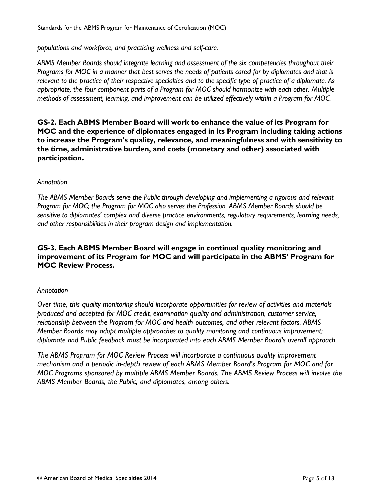*populations and workforce, and practicing wellness and self-care.*

*ABMS Member Boards should integrate learning and assessment of the six competencies throughout their Programs for MOC in a manner that best serves the needs of patients cared for by diplomates and that is relevant to the practice of their respective specialties and to the specific type of practice of a diplomate. As appropriate, the four component parts of a Program for MOC should harmonize with each other. Multiple methods of assessment, learning, and improvement can be utilized effectively within a Program for MOC.*

**GS-2. Each ABMS Member Board will work to enhance the value of its Program for MOC and the experience of diplomates engaged in its Program including taking actions to increase the Program's quality, relevance, and meaningfulness and with sensitivity to the time, administrative burden, and costs (monetary and other) associated with participation.**

#### *Annotation*

*The ABMS Member Boards serve the Public through developing and implementing a rigorous and relevant Program for MOC; the Program for MOC also serves the Profession. ABMS Member Boards should be sensitive to diplomates' complex and diverse practice environments, regulatory requirements, learning needs, and other responsibilities in their program design and implementation.*

### **GS-3. Each ABMS Member Board will engage in continual quality monitoring and improvement of its Program for MOC and will participate in the ABMS' Program for MOC Review Process.**

#### *Annotation*

*Over time, this quality monitoring should incorporate opportunities for review of activities and materials produced and accepted for MOC credit, examination quality and administration, customer service, relationship between the Program for MOC and health outcomes, and other relevant factors. ABMS Member Boards may adopt multiple approaches to quality monitoring and continuous improvement; diplomate and Public feedback must be incorporated into each ABMS Member Board's overall approach.*

*The ABMS Program for MOC Review Process will incorporate a continuous quality improvement mechanism and a periodic in-depth review of each ABMS Member Board's Program for MOC and for MOC Programs sponsored by multiple ABMS Member Boards. The ABMS Review Process will involve the ABMS Member Boards, the Public, and diplomates, among others.*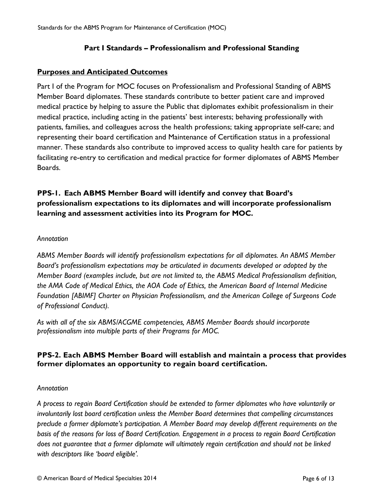#### **Part I Standards – Professionalism and Professional Standing**

#### **Purposes and Anticipated Outcomes**

Part I of the Program for MOC focuses on Professionalism and Professional Standing of ABMS Member Board diplomates. These standards contribute to better patient care and improved medical practice by helping to assure the Public that diplomates exhibit professionalism in their medical practice, including acting in the patients' best interests; behaving professionally with patients, families, and colleagues across the health professions; taking appropriate self-care; and representing their board certification and Maintenance of Certification status in a professional manner. These standards also contribute to improved access to quality health care for patients by facilitating re-entry to certification and medical practice for former diplomates of ABMS Member Boards.

# **PPS-1. Each ABMS Member Board will identify and convey that Board's professionalism expectations to its diplomates and will incorporate professionalism learning and assessment activities into its Program for MOC.**

#### *Annotation*

*ABMS Member Boards will identify professionalism expectations for all diplomates. An ABMS Member Board's professionalism expectations may be articulated in documents developed or adopted by the Member Board (examples include, but are not limited to, the ABMS Medical Professionalism definition, the AMA Code of Medical Ethics, the AOA Code of Ethics, the American Board of Internal Medicine Foundation [ABIMF] Charter on Physician Professionalism, and the American College of Surgeons Code of Professional Conduct).*

*As with all of the six ABMS/ACGME competencies, ABMS Member Boards should incorporate professionalism into multiple parts of their Programs for MOC.*

# **PPS-2. Each ABMS Member Board will establish and maintain a process that provides former diplomates an opportunity to regain board certification.**

#### *Annotation*

*A process to regain Board Certification should be extended to former diplomates who have voluntarily or involuntarily lost board certification unless the Member Board determines that compelling circumstances preclude a former diplomate's participation. A Member Board may develop different requirements on the basis of the reasons for loss of Board Certification. Engagement in a process to regain Board Certification does not guarantee that a former diplomate will ultimately regain certification and should not be linked with descriptors like 'board eligible'.*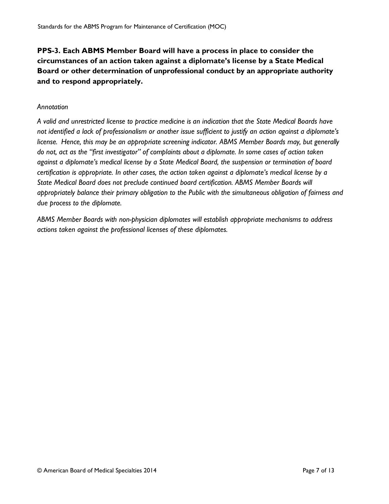**PPS-3. Each ABMS Member Board will have a process in place to consider the circumstances of an action taken against a diplomate's license by a State Medical Board or other determination of unprofessional conduct by an appropriate authority and to respond appropriately.**

#### *Annotation*

*A valid and unrestricted license to practice medicine is an indication that the State Medical Boards have not identified a lack of professionalism or another issue sufficient to justify an action against a diplomate's license. Hence, this may be an appropriate screening indicator. ABMS Member Boards may, but generally do not, act as the "first investigator" of complaints about a diplomate. In some cases of action taken against a diplomate's medical license by a State Medical Board, the suspension or termination of board certification is appropriate. In other cases, the action taken against a diplomate's medical license by a State Medical Board does not preclude continued board certification. ABMS Member Boards will appropriately balance their primary obligation to the Public with the simultaneous obligation of fairness and due process to the diplomate.*

*ABMS Member Boards with non-physician diplomates will establish appropriate mechanisms to address actions taken against the professional licenses of these diplomates.*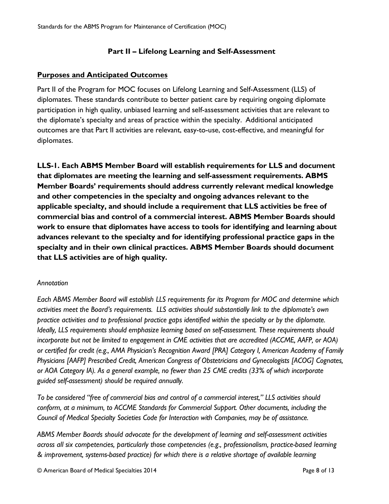# **Part II – Lifelong Learning and Self-Assessment**

# **Purposes and Anticipated Outcomes**

Part II of the Program for MOC focuses on Lifelong Learning and Self-Assessment (LLS) of diplomates. These standards contribute to better patient care by requiring ongoing diplomate participation in high quality, unbiased learning and self-assessment activities that are relevant to the diplomate's specialty and areas of practice within the specialty. Additional anticipated outcomes are that Part II activities are relevant, easy-to-use, cost-effective, and meaningful for diplomates.

**LLS-1. Each ABMS Member Board will establish requirements for LLS and document that diplomates are meeting the learning and self-assessment requirements. ABMS Member Boards' requirements should address currently relevant medical knowledge and other competencies in the specialty and ongoing advances relevant to the applicable specialty, and should include a requirement that LLS activities be free of commercial bias and control of a commercial interest. ABMS Member Boards should work to ensure that diplomates have access to tools for identifying and learning about advances relevant to the specialty and for identifying professional practice gaps in the specialty and in their own clinical practices. ABMS Member Boards should document that LLS activities are of high quality.**

# *Annotation*

*Each ABMS Member Board will establish LLS requirements for its Program for MOC and determine which activities meet the Board's requirements. LLS activities should substantially link to the diplomate's own practice activities and to professional practice gaps identified within the specialty or by the diplomate. Ideally, LLS requirements should emphasize learning based on self-assessment. These requirements should incorporate but not be limited to engagement in CME activities that are accredited (ACCME, AAFP, or AOA) or certified for credit (e.g., AMA Physician's Recognition Award [PRA] Category I, American Academy of Family Physicians [AAFP] Prescribed Credit, American Congress of Obstetricians and Gynecologists [ACOG] Cognates, or AOA Category IA). As a general example, no fewer than 25 CME credits (33% of which incorporate guided self-assessment) should be required annually.*

*To be considered "free of commercial bias and control of a commercial interest," LLS activities should conform, at a minimum, to ACCME Standards for Commercial Support. Other documents, including the Council of Medical Specialty Societies Code for Interaction with Companies, may be of assistance.*

*ABMS Member Boards should advocate for the development of learning and self-assessment activities across all six competencies, particularly those competencies (e.g., professionalism, practice-based learning & improvement, systems-based practice) for which there is a relative shortage of available learning*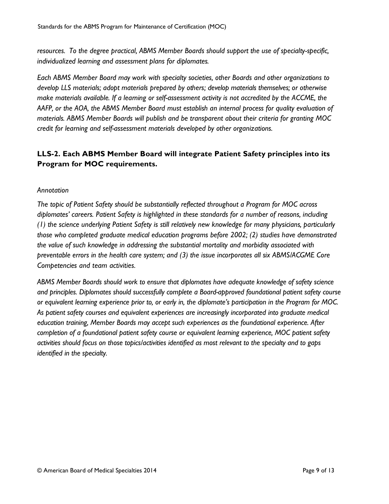*resources. To the degree practical, ABMS Member Boards should support the use of specialty-specific, individualized learning and assessment plans for diplomates.*

*Each ABMS Member Board may work with specialty societies, other Boards and other organizations to develop LLS materials; adopt materials prepared by others; develop materials themselves; or otherwise make materials available. If a learning or self-assessment activity is not accredited by the ACCME, the AAFP, or the AOA, the ABMS Member Board must establish an internal process for quality evaluation of materials. ABMS Member Boards will publish and be transparent about their criteria for granting MOC credit for learning and self-assessment materials developed by other organizations.*

# **LLS-2. Each ABMS Member Board will integrate Patient Safety principles into its Program for MOC requirements.**

#### *Annotation*

*The topic of Patient Safety should be substantially reflected throughout a Program for MOC across diplomates' careers. Patient Safety is highlighted in these standards for a number of reasons, including (1) the science underlying Patient Safety is still relatively new knowledge for many physicians, particularly those who completed graduate medical education programs before 2002; (2) studies have demonstrated the value of such knowledge in addressing the substantial mortality and morbidity associated with preventable errors in the health care system; and (3) the issue incorporates all six ABMS/ACGME Core Competencies and team activities.*

*ABMS Member Boards should work to ensure that diplomates have adequate knowledge of safety science and principles. Diplomates should successfully complete a Board-approved foundational patient safety course or equivalent learning experience prior to, or early in, the diplomate's participation in the Program for MOC. As patient safety courses and equivalent experiences are increasingly incorporated into graduate medical education training, Member Boards may accept such experiences as the foundational experience. After completion of a foundational patient safety course or equivalent learning experience, MOC patient safety activities should focus on those topics/activities identified as most relevant to the specialty and to gaps identified in the specialty.*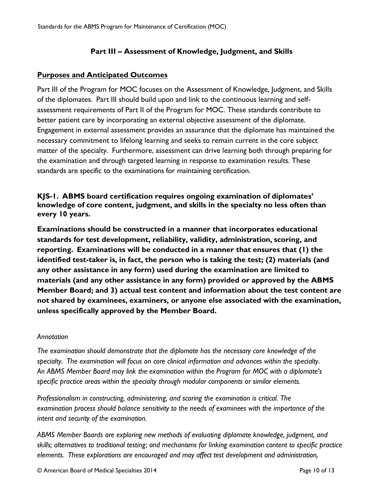# **Part III – Assessment of Knowledge, Judgment, and Skills**

# **Purposes and Anticipated Outcomes**

Part III of the Program for MOC focuses on the Assessment of Knowledge, Judgment, and Skills of the diplomates. Part III should build upon and link to the continuous learning and selfassessment requirements of Part II of the Program for MOC. These standards contribute to better patient care by incorporating an external objective assessment of the diplomate. Engagement in external assessment provides an assurance that the diplomate has maintained the necessary commitment to lifelong learning and seeks to remain current in the core subject matter of the specialty. Furthermore, assessment can drive learning both through preparing for the examination and through targeted learning in response to examination results. These standards are specific to the examinations for maintaining certification.

# **KJS-1. ABMS board certification requires ongoing examination of diplomates' knowledge of core content, judgment, and skills in the specialty no less often than every 10 years.**

**Examinations should be constructed in a manner that incorporates educational standards for test development, reliability, validity, administration, scoring, and reporting. Examinations will be conducted in a manner that ensures that (1) the identified test-taker is, in fact, the person who is taking the test; (2) materials (and any other assistance in any form) used during the examination are limited to materials (and any other assistance in any form) provided or approved by the ABMS Member Board; and 3) actual test content and information about the test content are not shared by examinees, examiners, or anyone else associated with the examination, unless specifically approved by the Member Board.**

#### *Annotation*

*The examination should demonstrate that the diplomate has the necessary core knowledge of the specialty. The examination will focus on core clinical information and advances within the specialty. An ABMS Member Board may link the examination within the Program for MOC with a diplomate's specific practice areas within the specialty through modular components or similar elements.*

*Professionalism in constructing, administering, and scoring the examination is critical. The examination process should balance sensitivity to the needs of examinees with the importance of the intent and security of the examination.*

*ABMS Member Boards are exploring new methods of evaluating diplomate knowledge, judgment, and skills; alternatives to traditional testing; and mechanisms for linking examination content to specific practice elements. These explorations are encouraged and may affect test development and administration,*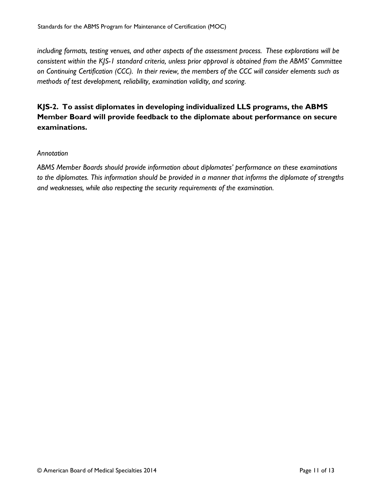*including formats, testing venues, and other aspects of the assessment process. These explorations will be consistent within the KJS-1 standard criteria, unless prior approval is obtained from the ABMS' Committee on Continuing Certification (CCC). In their review, the members of the CCC will consider elements such as methods of test development, reliability, examination validity, and scoring.*

# **KJS-2. To assist diplomates in developing individualized LLS programs, the ABMS Member Board will provide feedback to the diplomate about performance on secure examinations.**

#### *Annotation*

*ABMS Member Boards should provide information about diplomates' performance on these examinations to the diplomates. This information should be provided in a manner that informs the diplomate of strengths and weaknesses, while also respecting the security requirements of the examination.*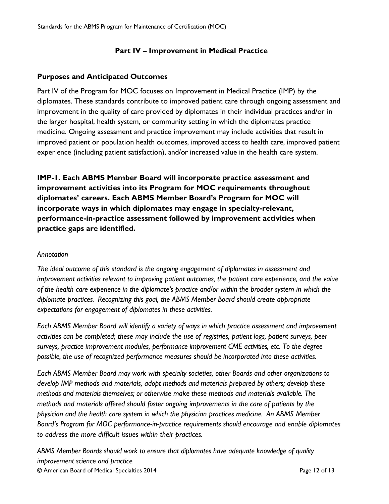# **Part IV – Improvement in Medical Practice**

### **Purposes and Anticipated Outcomes**

Part IV of the Program for MOC focuses on Improvement in Medical Practice (IMP) by the diplomates. These standards contribute to improved patient care through ongoing assessment and improvement in the quality of care provided by diplomates in their individual practices and/or in the larger hospital, health system, or community setting in which the diplomates practice medicine. Ongoing assessment and practice improvement may include activities that result in improved patient or population health outcomes, improved access to health care, improved patient experience (including patient satisfaction), and/or increased value in the health care system.

**IMP-1. Each ABMS Member Board will incorporate practice assessment and improvement activities into its Program for MOC requirements throughout diplomates' careers. Each ABMS Member Board's Program for MOC will incorporate ways in which diplomates may engage in specialty-relevant, performance-in-practice assessment followed by improvement activities when practice gaps are identified.**

#### *Annotation*

*The ideal outcome of this standard is the ongoing engagement of diplomates in assessment and improvement activities relevant to improving patient outcomes, the patient care experience, and the value of the health care experience in the diplomate's practice and/or within the broader system in which the diplomate practices. Recognizing this goal, the ABMS Member Board should create appropriate expectations for engagement of diplomates in these activities.*

*Each ABMS Member Board will identify a variety of ways in which practice assessment and improvement activities can be completed; these may include the use of registries, patient logs, patient surveys, peer surveys, practice improvement modules, performance improvement CME activities, etc. To the degree possible, the use of recognized performance measures should be incorporated into these activities.*

*Each ABMS Member Board may work with specialty societies, other Boards and other organizations to develop IMP methods and materials, adopt methods and materials prepared by others; develop these methods and materials themselves; or otherwise make these methods and materials available. The methods and materials offered should foster ongoing improvements in the care of patients by the physician and the health care system in which the physician practices medicine. An ABMS Member Board's Program for MOC performance-in-practice requirements should encourage and enable diplomates to address the more difficult issues within their practices.*

*ABMS Member Boards should work to ensure that diplomates have adequate knowledge of quality improvement science and practice.* 

© American Board of Medical Specialties 2014 Page 12 of 13